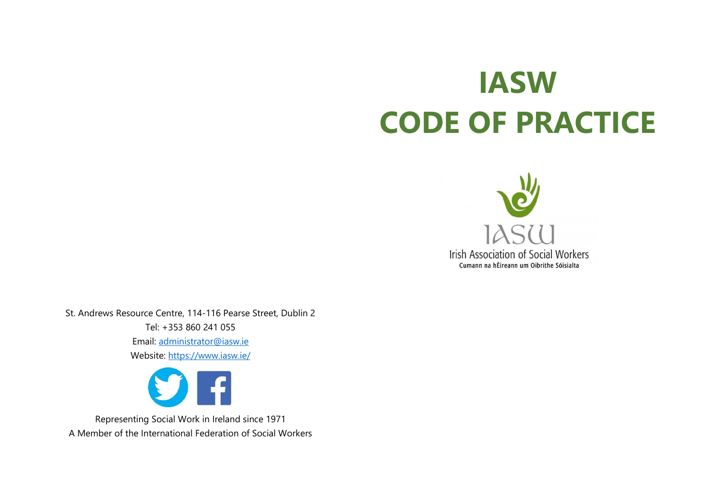# **IASW CODE OF PRACTICE**



St. Andrews Resource Centre, 114-116 Pearse Street, Dublin 2 Tel: +353 860 241 055 Email: [administrator@iasw.ie](mailto:administrator@iasw.ie)

Website:<https://www.iasw.ie/>



Representing Social Work in Ireland since 1971 A Member of the International Federation of Social Workers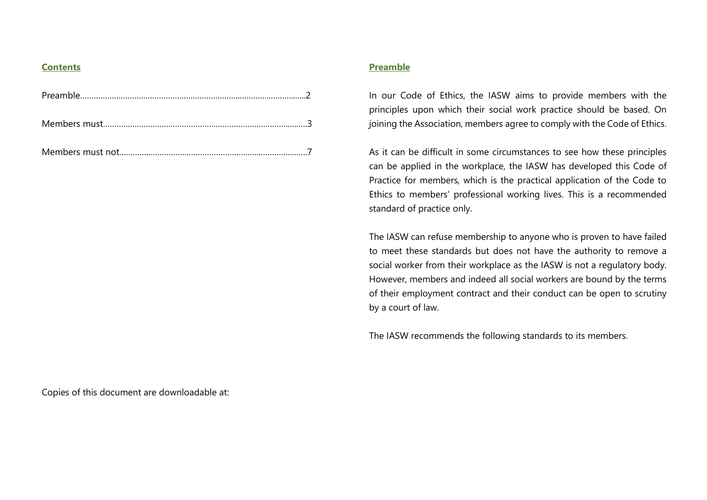#### **Contents**

## **Preamble**

In our Code of Ethics, the IASW aims to provide members with the principles upon which their social work practice should be based. On joining the Association, members agree to comply with the Code of Ethics.

As it can be difficult in some circumstances to see how these principles can be applied in the workplace, the IASW has developed this Code of Practice for members, which is the practical application of the Code to Ethics to members' professional working lives. This is a recommended standard of practice only.

The IASW can refuse membership to anyone who is proven to have failed to meet these standards but does not have the authority to remove a social worker from their workplace as the IASW is not a regulatory body. However, members and indeed all social workers are bound by the terms of their employment contract and their conduct can be open to scrutiny by a court of law.

The IASW recommends the following standards to its members.

Copies of this document are downloadable at: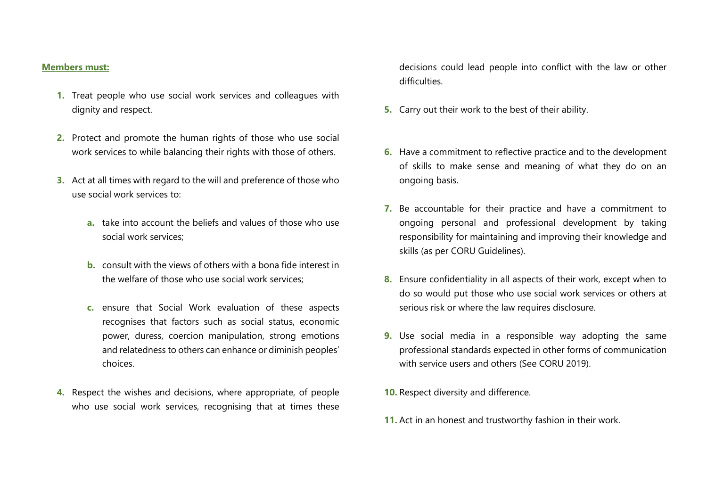### **Members must:**

- **1.** Treat people who use social work services and colleagues with dignity and respect.
- **2.** Protect and promote the human rights of those who use social work services to while balancing their rights with those of others.
- **3.** Act at all times with regard to the will and preference of those who use social work services to:
	- **a.** take into account the beliefs and values of those who use social work services;
	- **b.** consult with the views of others with a bona fide interest in the welfare of those who use social work services;
	- **c.** ensure that Social Work evaluation of these aspects recognises that factors such as social status, economic power, duress, coercion manipulation, strong emotions and relatedness to others can enhance or diminish peoples' choices.
- **4.** Respect the wishes and decisions, where appropriate, of people who use social work services, recognising that at times these

decisions could lead people into conflict with the law or other difficulties.

- **5.** Carry out their work to the best of their ability.
- **6.** Have a commitment to reflective practice and to the development of skills to make sense and meaning of what they do on an ongoing basis.
- **7.** Be accountable for their practice and have a commitment to ongoing personal and professional development by taking responsibility for maintaining and improving their knowledge and skills (as per CORU Guidelines).
- **8.** Ensure confidentiality in all aspects of their work, except when to do so would put those who use social work services or others at serious risk or where the law requires disclosure.
- **9.** Use social media in a responsible way adopting the same professional standards expected in other forms of communication with service users and others (See CORU 2019).
- **10.** Respect diversity and difference.
- **11.** Act in an honest and trustworthy fashion in their work.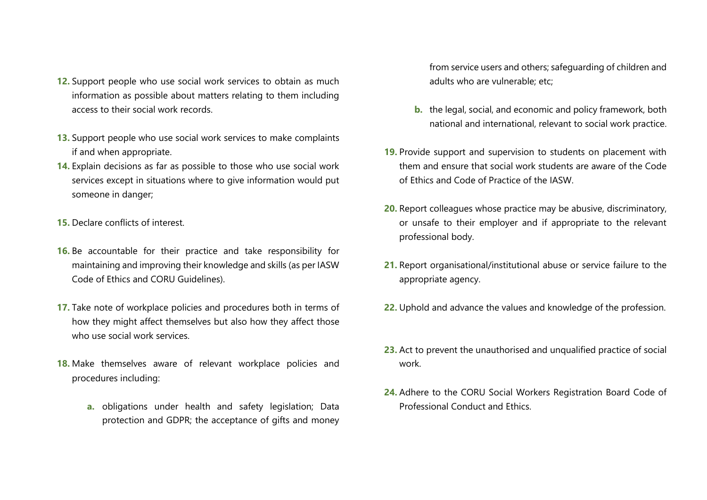- **12.** Support people who use social work services to obtain as much information as possible about matters relating to them including access to their social work records.
- **13.** Support people who use social work services to make complaints if and when appropriate.
- **14.** Explain decisions as far as possible to those who use social work services except in situations where to give information would put someone in danger;
- **15.** Declare conflicts of interest.
- **16.** Be accountable for their practice and take responsibility for maintaining and improving their knowledge and skills (as per IASW Code of Ethics and CORU Guidelines).
- **17.** Take note of workplace policies and procedures both in terms of how they might affect themselves but also how they affect those who use social work services.
- **18.** Make themselves aware of relevant workplace policies and procedures including:
	- **a.** obligations under health and safety legislation; Data protection and GDPR; the acceptance of gifts and money

from service users and others; safeguarding of children and adults who are vulnerable; etc;

- **b.** the legal, social, and economic and policy framework, both national and international, relevant to social work practice.
- **19.** Provide support and supervision to students on placement with them and ensure that social work students are aware of the Code of Ethics and Code of Practice of the IASW.
- **20.** Report colleagues whose practice may be abusive, discriminatory, or unsafe to their employer and if appropriate to the relevant professional body.
- **21.** Report organisational/institutional abuse or service failure to the appropriate agency.
- **22.** Uphold and advance the values and knowledge of the profession.
- **23.** Act to prevent the unauthorised and unqualified practice of social work.
- **24.** Adhere to the CORU Social Workers Registration Board Code of Professional Conduct and Ethics.